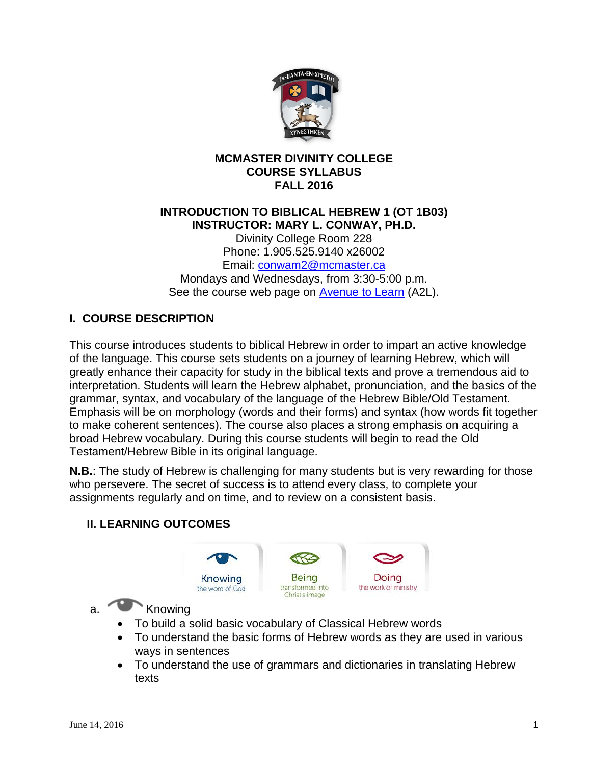

### **MCMASTER DIVINITY COLLEGE COURSE SYLLABUS FALL 2016**

## **INTRODUCTION TO BIBLICAL HEBREW 1 (OT 1B03) INSTRUCTOR: MARY L. CONWAY, PH.D.**

Divinity College Room 228 Phone: 1.905.525.9140 x26002 Email: [conwam2@mcmaster.ca](mailto:conwam2@mcmaster.ca) Mondays and Wednesdays, from 3:30-5:00 p.m. See the course web page on [Avenue to Learn](http://avenue.mcmaster.ca/) (A2L).

# **I. COURSE DESCRIPTION**

This course introduces students to biblical Hebrew in order to impart an active knowledge of the language. This course sets students on a journey of learning Hebrew, which will greatly enhance their capacity for study in the biblical texts and prove a tremendous aid to interpretation. Students will learn the Hebrew alphabet, pronunciation, and the basics of the grammar, syntax, and vocabulary of the language of the Hebrew Bible/Old Testament. Emphasis will be on morphology (words and their forms) and syntax (how words fit together to make coherent sentences). The course also places a strong emphasis on acquiring a broad Hebrew vocabulary. During this course students will begin to read the Old Testament/Hebrew Bible in its original language.

**N.B.**: The study of Hebrew is challenging for many students but is very rewarding for those who persevere. The secret of success is to attend every class, to complete your assignments regularly and on time, and to review on a consistent basis.





a. Knowing

- To build a solid basic vocabulary of Classical Hebrew words
- To understand the basic forms of Hebrew words as they are used in various ways in sentences
- To understand the use of grammars and dictionaries in translating Hebrew texts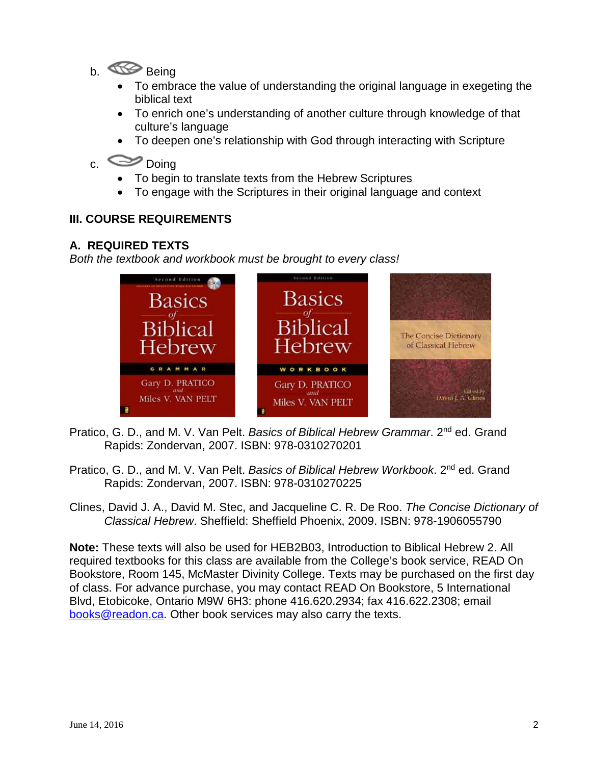- b. Being
	- To embrace the value of understanding the original language in exegeting the biblical text
	- To enrich one's understanding of another culture through knowledge of that culture's language
	- To deepen one's relationship with God through interacting with Scripture
- c. Doing
	- To begin to translate texts from the Hebrew Scriptures
	- To engage with the Scriptures in their original language and context

## **III. COURSE REQUIREMENTS**

### **A. REQUIRED TEXTS**

*Both the textbook and workbook must be brought to every class!*



- Pratico, G. D., and M. V. Van Pelt. *Basics of Biblical Hebrew Grammar*. 2nd ed. Grand Rapids: Zondervan, 2007. ISBN: 978-0310270201
- Pratico, G. D., and M. V. Van Pelt. *Basics of Biblical Hebrew Workbook*. 2nd ed. Grand Rapids: Zondervan, 2007. ISBN: 978-0310270225
- Clines, David J. A., David M. Stec, and Jacqueline C. R. De Roo. *The Concise Dictionary of Classical Hebrew*. Sheffield: Sheffield Phoenix, 2009. ISBN: 978-1906055790

**Note:** These texts will also be used for HEB2B03, Introduction to Biblical Hebrew 2. All required textbooks for this class are available from the College's book service, READ On Bookstore, Room 145, McMaster Divinity College. Texts may be purchased on the first day of class. For advance purchase, you may contact READ On Bookstore, 5 International Blvd, Etobicoke, Ontario M9W 6H3: phone 416.620.2934; fax 416.622.2308; email [books@readon.ca.](mailto:books@readon.ca) Other book services may also carry the texts.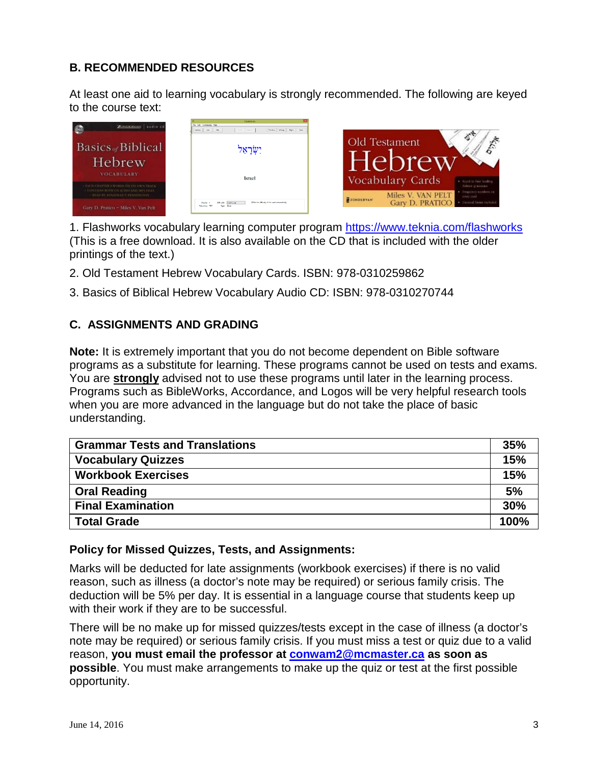## **B. RECOMMENDED RESOURCES**

At least one aid to learning vocabulary is strongly recommended. The following are keyed to the course text:



1. Flashworks vocabulary learning computer program<https://www.teknia.com/flashworks> (This is a free download. It is also available on the CD that is included with the older printings of the text.)

- 2. Old Testament Hebrew Vocabulary Cards. ISBN: 978-0310259862
- 3. Basics of Biblical Hebrew Vocabulary Audio CD: ISBN: 978-0310270744

### **C. ASSIGNMENTS AND GRADING**

**Note:** It is extremely important that you do not become dependent on Bible software programs as a substitute for learning. These programs cannot be used on tests and exams. You are **strongly** advised not to use these programs until later in the learning process. Programs such as BibleWorks, Accordance, and Logos will be very helpful research tools when you are more advanced in the language but do not take the place of basic understanding.

| <b>Grammar Tests and Translations</b> |      |  |
|---------------------------------------|------|--|
| <b>Vocabulary Quizzes</b>             | 15%  |  |
| <b>Workbook Exercises</b>             | 15%  |  |
| <b>Oral Reading</b>                   | 5%   |  |
| <b>Final Examination</b>              | 30%  |  |
| <b>Total Grade</b>                    | 100% |  |

#### **Policy for Missed Quizzes, Tests, and Assignments:**

Marks will be deducted for late assignments (workbook exercises) if there is no valid reason, such as illness (a doctor's note may be required) or serious family crisis. The deduction will be 5% per day. It is essential in a language course that students keep up with their work if they are to be successful.

There will be no make up for missed quizzes/tests except in the case of illness (a doctor's note may be required) or serious family crisis. If you must miss a test or quiz due to a valid reason, **you must email the professor at [conwam2@mcmaster.ca](mailto:conwam2@mcmaster.ca) as soon as possible**. You must make arrangements to make up the quiz or test at the first possible opportunity.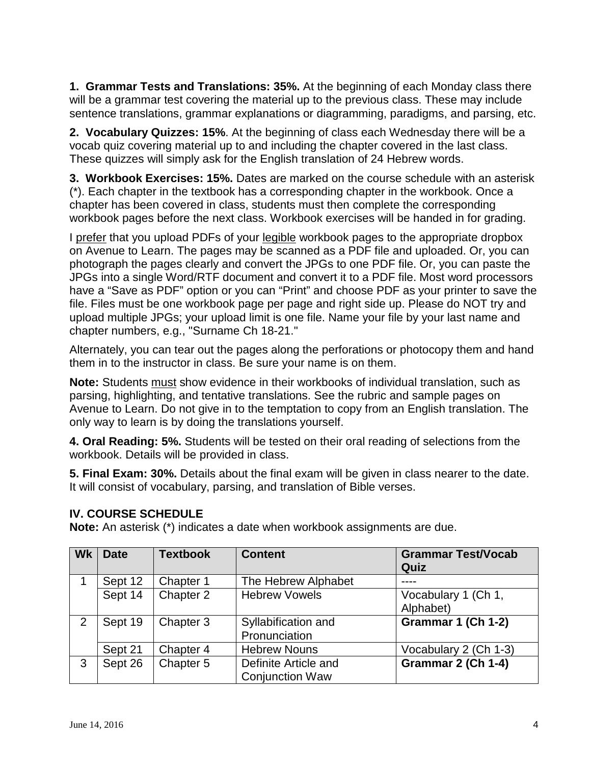**1. Grammar Tests and Translations: 35%.** At the beginning of each Monday class there will be a grammar test covering the material up to the previous class. These may include sentence translations, grammar explanations or diagramming, paradigms, and parsing, etc.

**2. Vocabulary Quizzes: 15%**. At the beginning of class each Wednesday there will be a vocab quiz covering material up to and including the chapter covered in the last class. These quizzes will simply ask for the English translation of 24 Hebrew words.

**3. Workbook Exercises: 15%.** Dates are marked on the course schedule with an asterisk (\*). Each chapter in the textbook has a corresponding chapter in the workbook. Once a chapter has been covered in class, students must then complete the corresponding workbook pages before the next class. Workbook exercises will be handed in for grading.

I prefer that you upload PDFs of your legible workbook pages to the appropriate dropbox on Avenue to Learn. The pages may be scanned as a PDF file and uploaded. Or, you can photograph the pages clearly and convert the JPGs to one PDF file. Or, you can paste the JPGs into a single Word/RTF document and convert it to a PDF file. Most word processors have a "Save as PDF" option or you can "Print" and choose PDF as your printer to save the file. Files must be one workbook page per page and right side up. Please do NOT try and upload multiple JPGs; your upload limit is one file. Name your file by your last name and chapter numbers, e.g., "Surname Ch 18-21."

Alternately, you can tear out the pages along the perforations or photocopy them and hand them in to the instructor in class. Be sure your name is on them.

**Note:** Students must show evidence in their workbooks of individual translation, such as parsing, highlighting, and tentative translations. See the rubric and sample pages on Avenue to Learn. Do not give in to the temptation to copy from an English translation. The only way to learn is by doing the translations yourself.

**4. Oral Reading: 5%.** Students will be tested on their oral reading of selections from the workbook. Details will be provided in class.

**5. Final Exam: 30%.** Details about the final exam will be given in class nearer to the date. It will consist of vocabulary, parsing, and translation of Bible verses.

## **IV. COURSE SCHEDULE**

| <b>Wk</b> | <b>Date</b> | <b>Textbook</b> | <b>Content</b>         | <b>Grammar Test/Vocab</b> |
|-----------|-------------|-----------------|------------------------|---------------------------|
|           |             |                 |                        | Quiz                      |
|           | Sept 12     | Chapter 1       | The Hebrew Alphabet    |                           |
|           | Sept 14     | Chapter 2       | <b>Hebrew Vowels</b>   | Vocabulary 1 (Ch 1,       |
|           |             |                 |                        | Alphabet)                 |
| 2         | Sept 19     | Chapter 3       | Syllabification and    | Grammar 1 (Ch 1-2)        |
|           |             |                 | Pronunciation          |                           |
|           | Sept 21     | Chapter 4       | <b>Hebrew Nouns</b>    | Vocabulary 2 (Ch 1-3)     |
| 3         | Sept 26     | Chapter 5       | Definite Article and   | Grammar 2 (Ch 1-4)        |
|           |             |                 | <b>Conjunction Waw</b> |                           |

**Note:** An asterisk (\*) indicates a date when workbook assignments are due.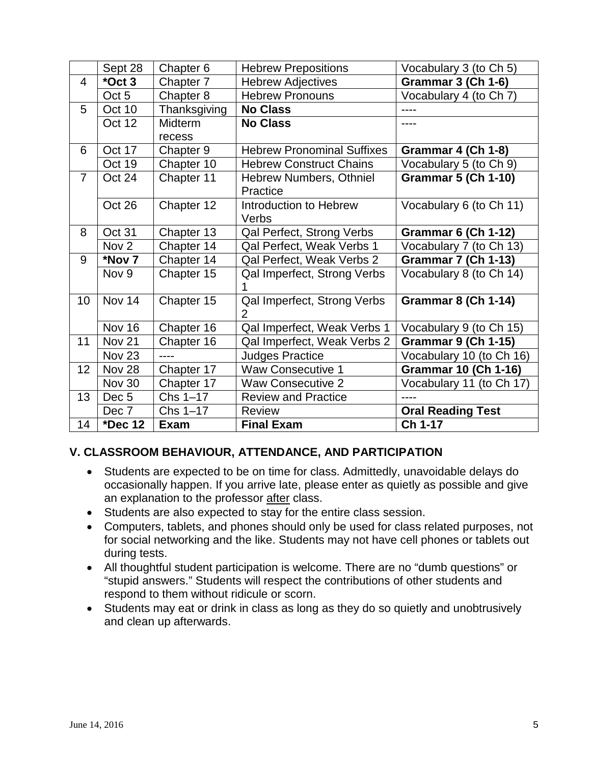|                | Sept 28           | Chapter <sub>6</sub> | <b>Hebrew Prepositions</b>        | Vocabulary 3 (to Ch 5)      |
|----------------|-------------------|----------------------|-----------------------------------|-----------------------------|
| $\overline{4}$ | *Oct 3            | Chapter 7            | <b>Hebrew Adjectives</b>          | Grammar 3 (Ch 1-6)          |
|                | Oct 5             | Chapter 8            | <b>Hebrew Pronouns</b>            | Vocabulary 4 (to Ch 7)      |
| 5              | Oct 10            | Thanksgiving         | <b>No Class</b>                   |                             |
|                | Oct 12            | Midterm              | <b>No Class</b>                   |                             |
|                |                   | recess               |                                   |                             |
| 6              | Oct 17            | Chapter 9            | <b>Hebrew Pronominal Suffixes</b> | Grammar 4 (Ch 1-8)          |
|                | Oct 19            | Chapter 10           | <b>Hebrew Construct Chains</b>    | Vocabulary 5 (to Ch 9)      |
| $\overline{7}$ | Oct 24            | Chapter 11           | <b>Hebrew Numbers, Othniel</b>    | <b>Grammar 5 (Ch 1-10)</b>  |
|                |                   |                      | Practice                          |                             |
|                | Oct 26            | Chapter 12           | Introduction to Hebrew            | Vocabulary 6 (to Ch 11)     |
|                |                   |                      | Verbs                             |                             |
| 8              | Oct 31            | Chapter 13           | Qal Perfect, Strong Verbs         | <b>Grammar 6 (Ch 1-12)</b>  |
|                | Nov <sub>2</sub>  | Chapter 14           | Qal Perfect, Weak Verbs 1         | Vocabulary 7 (to Ch 13)     |
| 9              | *Nov 7            | Chapter 14           | Qal Perfect, Weak Verbs 2         | <b>Grammar 7 (Ch 1-13)</b>  |
|                | Nov 9             | Chapter 15           | Qal Imperfect, Strong Verbs       | Vocabulary 8 (to Ch 14)     |
|                |                   |                      | 1                                 |                             |
| 10             | Nov 14            | Chapter 15           | Qal Imperfect, Strong Verbs       | <b>Grammar 8 (Ch 1-14)</b>  |
|                |                   |                      | $\overline{2}$                    |                             |
|                | Nov 16            | Chapter 16           | Qal Imperfect, Weak Verbs 1       | Vocabulary 9 (to Ch 15)     |
| 11             | Nov 21            | Chapter 16           | Qal Imperfect, Weak Verbs 2       | <b>Grammar 9 (Ch 1-15)</b>  |
|                | Nov <sub>23</sub> | ----                 | <b>Judges Practice</b>            | Vocabulary 10 (to Ch 16)    |
| 12             | Nov 28            | Chapter 17           | <b>Waw Consecutive 1</b>          | <b>Grammar 10 (Ch 1-16)</b> |
|                | <b>Nov 30</b>     | Chapter 17           | <b>Waw Consecutive 2</b>          | Vocabulary 11 (to Ch 17)    |
| 13             | Dec <sub>5</sub>  | Chs 1-17             | <b>Review and Practice</b>        |                             |
|                | Dec 7             | Chs 1-17             | <b>Review</b>                     | <b>Oral Reading Test</b>    |
| 14             | *Dec 12           | <b>Exam</b>          | <b>Final Exam</b>                 | Ch 1-17                     |

### **V. CLASSROOM BEHAVIOUR, ATTENDANCE, AND PARTICIPATION**

- Students are expected to be on time for class. Admittedly, unavoidable delays do occasionally happen. If you arrive late, please enter as quietly as possible and give an explanation to the professor after class.
- Students are also expected to stay for the entire class session.
- Computers, tablets, and phones should only be used for class related purposes, not for social networking and the like. Students may not have cell phones or tablets out during tests.
- All thoughtful student participation is welcome. There are no "dumb questions" or "stupid answers." Students will respect the contributions of other students and respond to them without ridicule or scorn.
- Students may eat or drink in class as long as they do so quietly and unobtrusively and clean up afterwards.